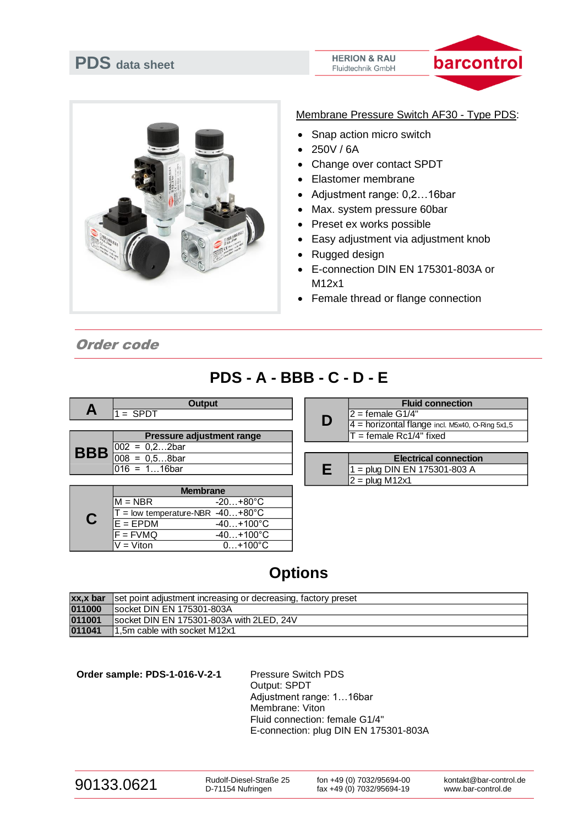# **PDS data sheet**

#### **HERION & RAU** Fluidtechnik GmbH





Membrane Pressure Switch AF30 - Type PDS:

- Snap action micro switch
- 250V / 6A
- Change over contact SPDT
- Elastomer membrane
- Adjustment range: 0,2…16bar
- Max. system pressure 60bar
- Preset ex works possible
- Easy adjustment via adjustment knob
- Rugged design
- E-connection DIN EN 175301-803A or M12x1
- Female thread or flange connection

Order code

### **PDS - A - BBB - C - D - E**

|                                         | <b>Output</b>             |   | <b>Fluid</b>          |
|-----------------------------------------|---------------------------|---|-----------------------|
| A                                       | $=$ SPDT                  | D | I2 = female G1/4"     |
|                                         |                           |   | $4 =$ horizontal flan |
| <b>BBB</b> $\frac{002}{008} = 0.22$ bar | Pressure adjustment range |   | $T =$ female Rc1/4'   |
|                                         |                           |   |                       |
|                                         |                           |   | <b>Electri</b>        |
|                                         | l016 = 116bar             |   | $1 = plug$ DIN EN 1   |

| <b>Membrane</b>                    |                    |
|------------------------------------|--------------------|
| $M = NBR$                          | $-20+80^{\circ}C$  |
| $T =$ low temperature-NBR -40+80°C |                    |
| $E = EPDM$                         | $-40+100^{\circ}C$ |
| $F = FVMQ$                         | $-40+100^{\circ}C$ |
| V = Viton                          | $0+100^{\circ}C$   |

|   | <b>Fluid connection</b>                           |
|---|---------------------------------------------------|
| D | I2 = female G1/4"                                 |
|   | $4$ = horizontal flange incl. M5x40, O-Ring 5x1,5 |
|   | $T =$ female Rc1/4" fixed                         |
|   |                                                   |

| <b>Electrical connection</b>   |
|--------------------------------|
| $1 =$ plug DIN EN 175301-803 A |
| $\mathbb{I}2$ = plug M12x1     |

## **Options**

|        | <b>xx,x bar</b> set point adjustment increasing or decreasing, factory preset |
|--------|-------------------------------------------------------------------------------|
| 011000 | Isocket DIN EN 175301-803A                                                    |
| 011001 | socket DIN EN 175301-803A with 2LED, 24V                                      |
| 011041 | 1,5m cable with socket M12x1                                                  |

Order sample: PDS-1-016-V-2-1 Pressure Switch PDS

Output: SPDT Adjustment range: 1…16bar Membrane: Viton Fluid connection: female G1/4" E-connection: plug DIN EN 175301-803A

Rudolf-Diesel-Straße 25 D-71154 Nufringen

fon +49 (0) 7032/95694-00 fax +49 (0) 7032/95694-19

kontakt@bar-control.de www.bar-control.de